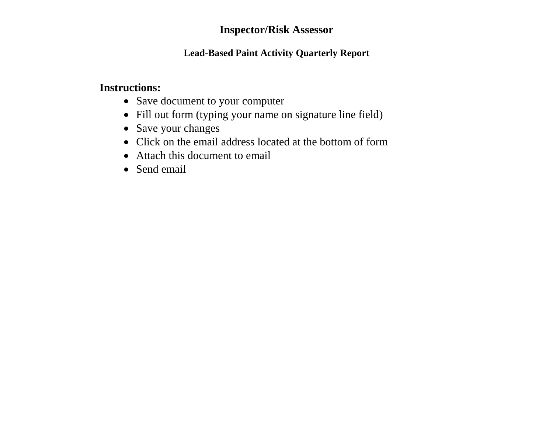### **Inspector/Risk Assessor**

#### **Lead-Based Paint Activity Quarterly Report**

### **Instructions:**

- Save document to your computer
- Fill out form (typing your name on signature line field)
- Save your changes
- Click on the email address located at the bottom of form
- Attach this document to email
- Send email